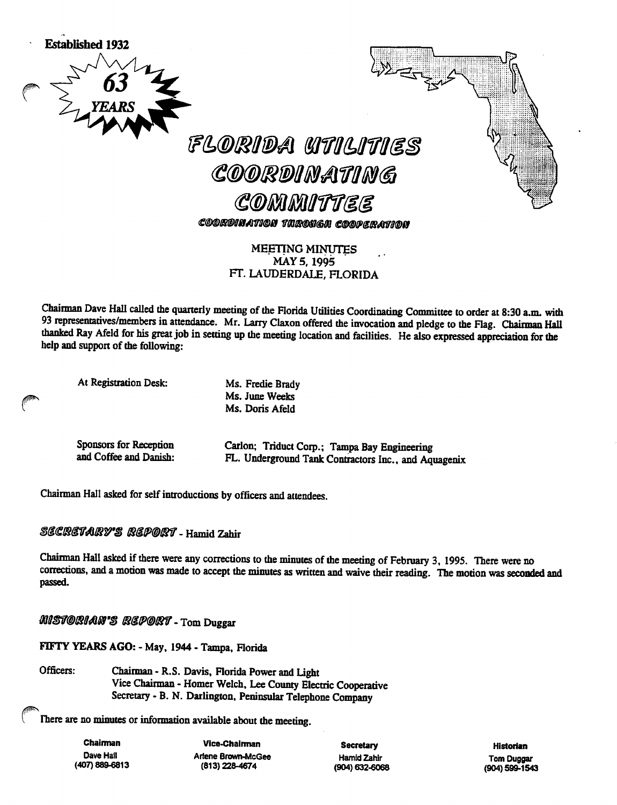

MEETING MINUTES MAY 5, 1995 FT. LAUDERDALE, FLORIDA

Chairman Dave Hall called the quarterly meeting of the Florida Utilities Coordinating Committee to order at 8:30 a.m. with 93 representatives/members in attendance. Mr. Larry Claxon offered the invocation and pledge to the Flag. Chairman Hall thanked Ray Afeld for his great job in setting up the meeting location and facilities. He also expressed appreciation for the help and support of the following:

At Registration Desk: Ms. Fredie Brady

<sup>e</sup>

Ms. June Weeks Ms. Doris Afeld

Sponsors for Reception and Coffee and Danish: Carlon; Triduct Corp.; Tampa Bay Engineering FL. Underground Tank Contractors Inc., and Aquagenix

Chairman Hall asked for self introductions by officers and attendees.

### SECRETARY'S REPORT - Hamid Zahir

Chairman Hall asked if there were any corrections to the minutes of the meeting of February 3, 1995. There were no corrections, and a motion was made to accept the minutes as written and waive their reading. The motion was seconded and passed.

MISTORIAN'S REPORT - Tom Duggar

FIFTY YEARS AGO: - May, 1944 - Tampa, Florida

Officers: Chairman - R.S. Davis, Florida Power and Light Vice Chairman - Homer Welch, Lee County Electric Cooperative Secretary - B. N. Darlington, Peninsular Telephone Company

There are no minutes or information available about the meeting.

Chairman Dave Hall (407) 889-6813

Vice-Chalnnan Artene Brown-McGee (813)228-4674

**Secretary** Hamid Zahir (904) 632-6068

Historian Tom Duggar (904)599-1543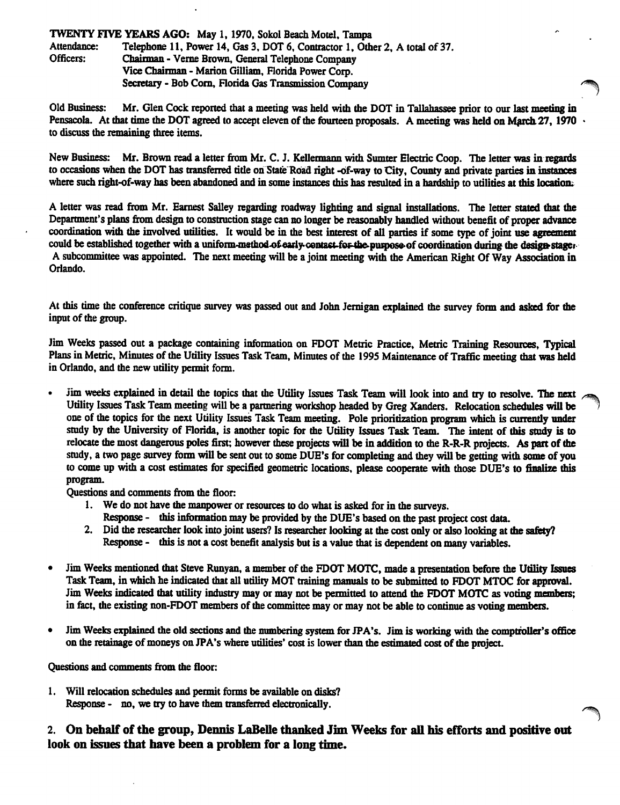#### **TWENTY FIVE YEARS AGO:** May 1, 1970, Sokol Beach Motel, Tampa<br>Attendance: Telephone 11, Power 14, Gas 3, DOT 6, Contractor 1, Oth Attendance: Telephone 11, Power 14, Gas 3, DOT 6, Contractor 1, Other 2, A total of 37.<br>Officers: Chairman - Verne Brown, General Telephone Company Chairman - Verne Brown, General Telephone Company Vice Chainnan - Marion Gilliam, Florida Power Corp. Secretary - Bob Com, Florida Gas Transmission Company

Old Business: Mr. Glen Cock reported that a meeting was held with the DOT in Tallahassee prior to our last meeting in Pensacola. At that time the DOT agreed to accept eleven of the fourteen proposals. A meeting was held on March 27, 1970. to discuss the remaining three items.

New Business: Mr. Brown read a letter from Mr. C. J. Kellermann with Sumter Electric Coop. The letter was in regards to occasions when the DOT has transferred title on State Road right -of-way to City, County and private parties in instances where such right-of-way has been abandoned and in some instances this has resulted in a hardship to utilities at this location.

A letter was read from Mr. Earnest Salley regarding roadway lighting and signal installations. The letter stated that the Department's plans from design to construction stage can no longer be reasonably handled without benefit of proper advance coordination with the involved utilities. It would be in the best interest of all parties if some type of joint use agreement could be established together with a uniform-method of early-contast-for-the purpose of coordination during the design stager-A subcommittee was appointed. The next meeting will be a joint meeting with the American Right Of Way Association in Orlando.

At this time the conference critique survey was passed out and John Jernigan explained the survey form and asked for the input of the group.

Jim Weeks passed out a package containing information on FDOT Metric Practice, Metric Training Resources, Typical Plans in Metric, Minutes of the Utility Issues Task Team, Minutes of the 1995 Maintenance of Traffic meeting that was held in Orlando, and the new utility permit form.

Jim weeks explained in detail the topics that the Utility Issues Task Team will look into and try to resolve. The next Utility Issues Task Team meeting will be a partnering workshop headed by Greg Xanders. Relocation schedules will be one of the topics for the next Utility Issues Task Team meeting. Pole prioritization program which is currently under study by the University of Florida, is another topic for the Utility Issues Task Team. The intent of this study is to relocate the most dangerous poles first; however these projects will be in addition to the R-R-R projects. As part of the study, a two page survey form will be sent out to some DUE's for completing and they will be getting with some of you to come up with a cost estimates for specified geometric locations, please cooperate with those DUE's to finalize this program.

Questions and comments from the floor:

- 1. We do not have the manpower or resources to do what is asked for in the surveys.
	- Response this information may be provided by the DUE's based on the past project cost data.
- 2. Did the researcher look into joint users? Is researcher looking at the cost only or also looking at the safety? Response - this is not a cost benefit analysis but is a value that is dependem on many variables.
- Jim Weeks mentioned that Steve Runyan, a member of the FDOT MOTC, made a presentation before the Utility Issues  $\bullet$ Task Team, in which he indicated that all utility MOT training manuals to be submitted to FDOT MTOC for approval. Jim Weeks indicated diat utility industry may or may not be permitted to attend the FDOT MOTC as voting members; in fact, the existing non-FDOT members of the committee may or may not be able to contimie as voting members.
- Jim Weeks explained the old sections and the numbering system for JPA's. Jim is working with the comptroller's office on the retainage of moneys on JPA's where utilities' cost is lower than the estimated cost of the project.

Questions and comments from the floor:

1. Will relocation schedules and permit forms be available on disks? Response - no, we try to have them transferred electronically.

2. On behalf of the group, Dennis LaBelle thanked Jim Weeks for all his efforts and positive out look on issues that have been a problem for a long time.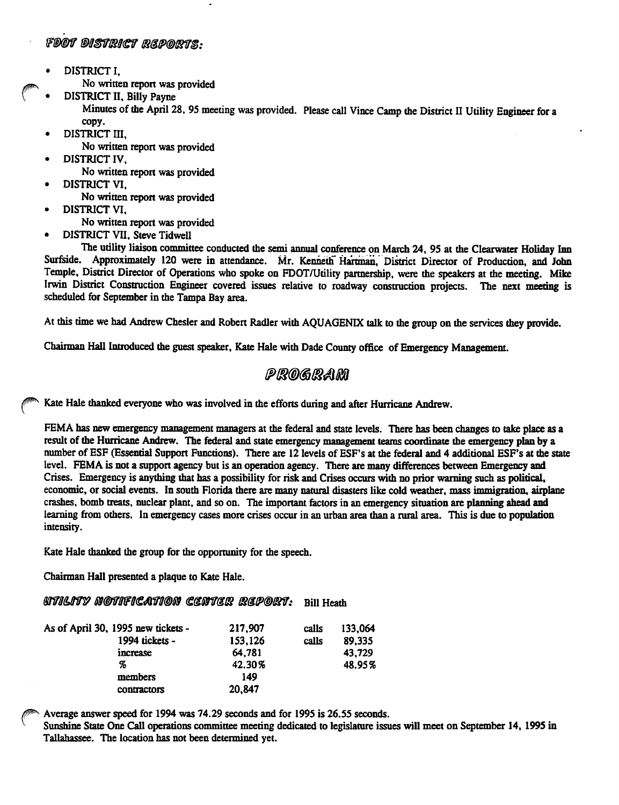#### FDOT DISTRICT REPORTS.

- DISTRICT I,
	- No written report was provided
	- DISTRICT II, Billy Payne

Minutes of the April 28, 95 meeting was provided. Please call Vince Camp the District II Utility Engineer for a copy.

- DISTRICT III.
	- No written report was provided
- DISTRICT IV,
- No written report was provided • DISTRICT VI,
	- No written report was provided
- DISTRICT VI,
	- No written report was provided
- DISTRICT VII, Steve Tidwell

The utility liaison committee conducted the semi annual conference on March 24, 95 at the Clearwater Holiday Inn Surfside. Approximately 120 were in attendance. Mr. Kenneth Hartman, District Director of Production, and John Temple, District Director of Operations who spoke on FDOT/Utility partnership, were the speakers at the meeting. Mike Irwin District Construction Engineer covered issues relative to roadway construction projects. The next meeting is scheduled for September in the Tampa Bay area.

At this time we had Andrew Chester and Robert Radler with AQUAGENIX talk to the group on the services they provide.

Chairman Hall Introduced the guest speaker, Kate Hale with Dade County office of Emergency Management.

### PROGRAM

Kate Hale thanked everyone who was involved in the efforts during and after Hurricane Andrew.

FEMA has new emergency management managers at the federal and state levels. There has been changes to take place as a result of the Hurricane Andrew. The federal and state emergency management teams coordinate the emergency plan by a number of ESF (Essential Support Functions). There are 12 levels of ESF's at the federal and 4 additional ESF's at the state level. FEMA is not a support agency but is an operation agency. There are many differences between Emergency and Crises. Emergency is anything that has a possibility for risk and Crises occurs with no prior warning such as polidcal, economic, or social events. In south Florida there are many natural disasters like cold weather, mass immigradon, airplane crashes, bomb treats, nuclear plant, and so on. The important factors in an emergency situadon are planning ahead and learning from others. In emergency cases more crises occur in an urban area than a rural area. This is due to population imensity.

Kate Hale thanked the group for the opportunity for the speech.

Chairman Hall presented a plaque to Kate Hale.

#### **MTILITY NOTIFICATION CENTER REPORT:** Bill Heath

| As of April 30, 1995 new tickets - | 217,907 | calls | 133,064 |
|------------------------------------|---------|-------|---------|
| 1994 tickets -                     | 153,126 | cails | 89,335  |
| increase                           | 64,781  |       | 43.729  |
| Z,                                 | 42.30%  |       | 48.95%  |
| members                            | 149     |       |         |
| contractors                        | 20,847  |       |         |

Average answer speed for 1994 was 74.29 seconds and for 1995 is 26.55 seconds.

Sunshine State One Call operations committee meeting dedicated to legislature issues will meet on September 14, 1995 in Tallahassee. The locadon has not been determined yet.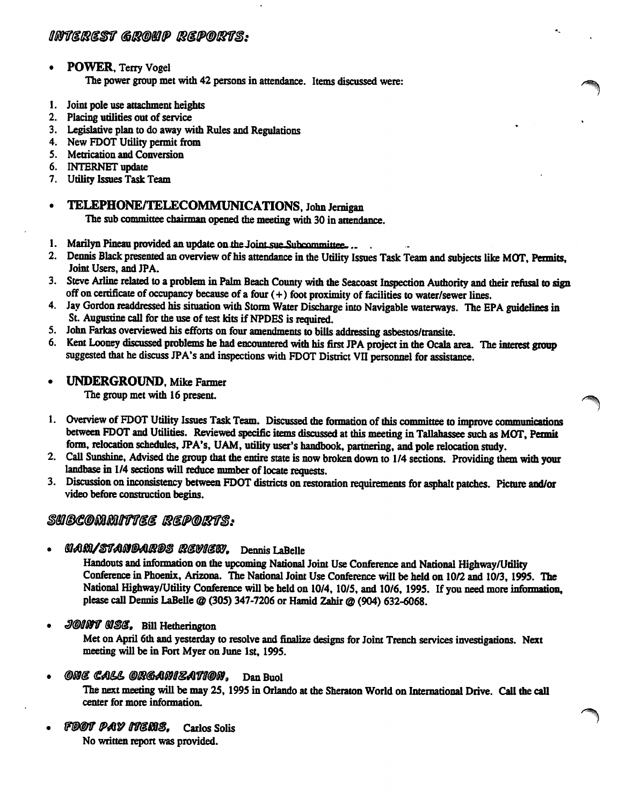#### • POWER, Terry Vogel The power group met with 42 persons in attendance. Items discussed were:

- 1. Joint pole use attachment heights
- 2. Placing utilities out of service
- 3. Legislative plan to do away with Rules and Regulations
- 4. New FDOT Utility permit from
- 5. Metrication and Conversion
- 6. INTERNET update
- 7. Utility Issues Task Team
- TELEPHONE/TELECOMMUNICATIONS, John Jernigan

The sub committee chairman opened the meeting with 30 in attendance.

- 1. Marilyn Pineau provided an update on the Joint sue Subcommittee...
- 2. Demiis Black presented an overview of his attendance in the Utility Issues Task Team and subjects like MOT, Permits, Joint Users, and JPA.

 $\blacksquare$ 

- 3. Steve Arline related to a problem in Palm Beach County with the Seacoast Inspection Authority and their refusal to sign off on certificate of occupancy because of a four  $(+)$  foot proximity of facilities to water/sewer lines.
- 4. Jay Gordon readdressed his situation with Storm Water Discharge into Navigable waterways. The EPA guidelines in St. Augustine call for the use of test kits if NPDES is required.
- 5. John Farkas overviewed his efforts on four amendments to bills addressing asbestos/transite.
- 6. Kent Looney discussed problems he had encountered with his first JPA project in the Ocala area. The interest group suggested that he discuss JPA's and inspections with FDOT District VII personnel for assistance.
- UNDERGROUND, Mike Farmer

The group met with 16 present.

- 1. Overview of FDOT Utility Issues Task Team. Discussed the formation of this committee to improve communications between FDOT and Utilities. Reviewed specific items discussed at ibis meeting in Tallahassee such as MOT, Permit form, relocation schedules, JPA's, UAM, utility user's handbook, partnering, and pole relocation study.
- 2. Call Sunshine, Advised the group that the entire state is now broken down to 1/4 sections. Providing them with your landbase in 1/4 sections will reduce number of locate requests.
- 3. Discussion on inconsistency between FDOT districts on restoration requirements for asphalt patches. Picture and/or video before construction begins.

### SUBCOMMITIEE REPORTS:

MAM/STANDARDS REVIEW, Dennis LaBelle

Handouts and information on the upcoming National Joint Use Conference and National Highway/Utility Conference in Phoenix, Arizona. The National Joint Use Conference will be held on 10/2 and 10/3,1995. The National Highway/Utility Conference will be held on 10/4, 10/5, and 10/6, 1995. If you need more information, please call Dennis LaBelle @ (305) 347-7206 or Hamid Zahir @ (904) 632-6068.

JOINT USE. Bill Hetherington

Met on April 6th and yesterday to resolve and finalize designs for Joint Trench services investigations. Next  $\mu$  we different Fort Myer on Solve and find the in Fort Myer on June 1st, 1995.

- ONE CALL ORGANIZATION. Dan Buol The next meeting will be may 25, 1995 in Orlando at the Sheraton World on International Drive. Call the call center for more information.
- FDOT PAY ITEMS. Carlos Solis No written report was provided.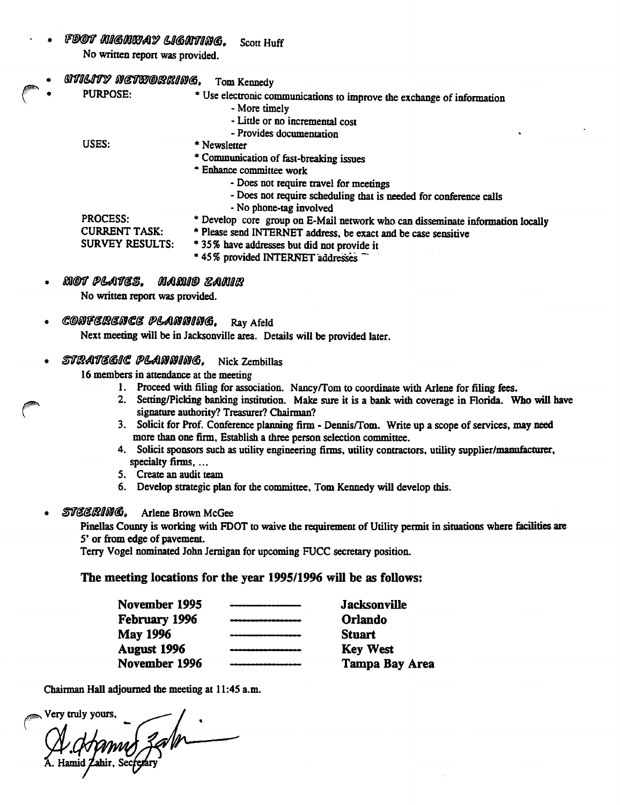- FDOT MIGMWAY LIGHTING. No written report was provided. Scott Huff
- **UTILITY NETWORKING.** Tom Kennedy
	- PURPOSE: \* Use electronic communications to improve the exchange of information
		- More timely
		- Little or no incremental cost
		- Provides documentation
		- USES: PROCESS: CURRENT TASK: SURVEY RESULTS: \* Newsletter \* Communication of fast-breaking issues \* Enhance committee work • Does not require travel for meetings - Does not require scheduling that is needed for conference calls - No phone-tag involved \* Develop core group on E-Mail network who can disseminate information locally \* Please send INTERNET address, be exact and be case sensitive \*35% have addresses but did not provide it \*45% provided INTERNET addresses ~
	- mot plates. Mamid zamir No written report was provided.
	- CONFERENCE PLANNING, Ray Afeld

Next meeting will be in Jacksonville area. Details will be provided later.

### STRATEGIC PLANNING, Nick Zembillas

16 members in attendance at the meeting

- 1. Proceed with filing for association. Nancy/Tom to coordinate with Arlene for filing fees.
- 2. Setting/Picking banking institution. Make sure it is a bank with coverage in Florida. Who will have signature authority? Treasurer? Chairman?
- 3. Solicit for Prof. Conference planning firm Dennis/Tom. Write up a scope of services, may need more than one firm. Establish a three person selection committee.
- 4. Solicit sponsors such as utility engineering firms, utility contractors, utility supplier/manufacturer, specialty firms, ...
- 5. Create an audit team
- 6. Develop strategic plan for the committee, Tom Kennedy will develop this.
- STEERING. Arlene Brown McGee

Pinellas County is working with FDOT to waive the requirement of Utility permit in situations where facilities are 5' or from edge of pavement.

Terry Vogel nominated John Jemigan for upcoming FUCC secretary position.

### The meeting locations for the year 1995/1996 will he as follows:

| <b>Jacksonville</b> |
|---------------------|
| <b>Orlando</b>      |
| <b>Stuart</b>       |
| <b>Key West</b>     |
| Tampa Bay Area      |
|                     |

Chairman Hall adjourned the meeting at 11:45 a.m.

, Very truly yours. A. Hamid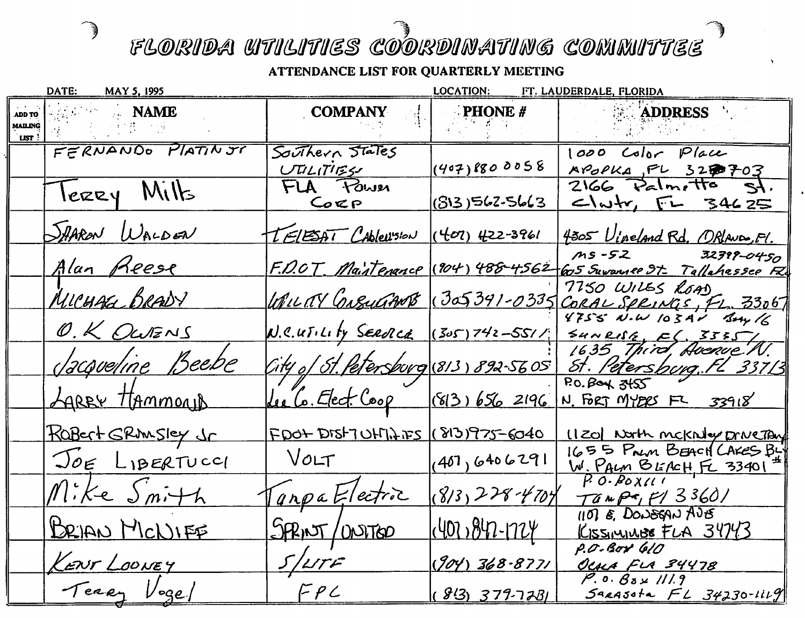<sup>。</sup>》

|        | DATE:<br><b>MAY 5, 1995</b> |                                                         | <b>LOCATION:</b>    | FT. LAUDERDALE, FLORIDA                                                               |
|--------|-----------------------------|---------------------------------------------------------|---------------------|---------------------------------------------------------------------------------------|
| ADD TO | <b>NAME</b>                 | <b>COMPANY</b>                                          | <b>PHONE</b> $#$    | <b>ADDRESS</b>                                                                        |
| LIST : | MAILING SALES AND STREET    |                                                         |                     |                                                                                       |
|        | FERNANDO PLATIN JT          | Southern States                                         |                     | 1000 Color Place                                                                      |
|        |                             | しびんげぼく                                                  | (407)800058         | APOPKA, FL 3250703                                                                    |
|        | lerry Milts                 | FLA FOWER                                               |                     | $2166$ $Path$ , the<br><u>t&gt;</u>                                                   |
|        |                             | Corp                                                    | 1(813)562-5663      | $L_{w}$ $\sim$ $54625$                                                                |
|        | SAARON WALDEN               | TELESAT CAPLESION (402) 422-3961                        |                     | 4305 Vineland Rd. ORLANDO, Fl.                                                        |
|        | Alan Reese                  |                                                         |                     | MS-52 32399-0450<br>F.D.OT Maintenance (204) 488-4562 605 Suvannee St. Tallahessee Re |
|        | MICHAG BRADY                |                                                         |                     | 7750 WILES ROAD                                                                       |
|        |                             |                                                         |                     | WILLEY CreuGANT (305391-0335 CORAL SPRINGS, FL. 33067<br>4755 N.W 103AV Bay 16        |
|        | O. K OWENS                  | $N.C.$ $U.$ $U.$ $U.$ $V.$ $Seeolce$ $(So5) 742 - 5511$ |                     | 54NRlfs, E, 335J,                                                                     |
|        | <u> Jacqueline</u> Beebe    | City of St. Petersburg (813) 892-5605                   |                     | 16,35 Third, Avenue N.<br>St. Petersburg. FL 33713                                    |
|        |                             |                                                         |                     | $RO.$ $B$ oy $3455$                                                                   |
|        | LAREY HAMMOND               | Lee Co. Elect. Coop (813) 656 2196                      |                     | N. FORT MYBRS FL 33918                                                                |
|        | ROBERt SRMSley Jr           | <u> FDOT DISTULIJAIES (1813) 975-6040</u>               |                     | (120) North meknig Drive Tay                                                          |
|        | JOE LIBERTUCCI              | VOLT                                                    | (407, 6406291)      | 1655 Prin BEACH CARES BY                                                              |
|        | Mike Smith                  | GapaFlectic                                             | $(8/3,228-4704)$    | W. PALM BEACH FL 33401<br>$T$ ampa, $F/3360/$                                         |
|        | BRIAN MCNIFE                | SPRINT/UNITED                                           | $(407, 847 - 1724)$ | $1107$ E. DONEGAN AJE<br>KISSIMINUS FLA 34743                                         |
|        |                             |                                                         |                     | P.O.Box 610                                                                           |
|        | KENT LOONEY                 | S/LTF                                                   | $(904) 368 - 8771$  | <u>OCALA FLA 34478</u>                                                                |
|        | Terry Vogel                 | FPC                                                     | $(813) 379 - 7281$  | $P. 0. 83 \times 111.9$<br>$S$ arasota $FL$ $34230$ - $1119$                          |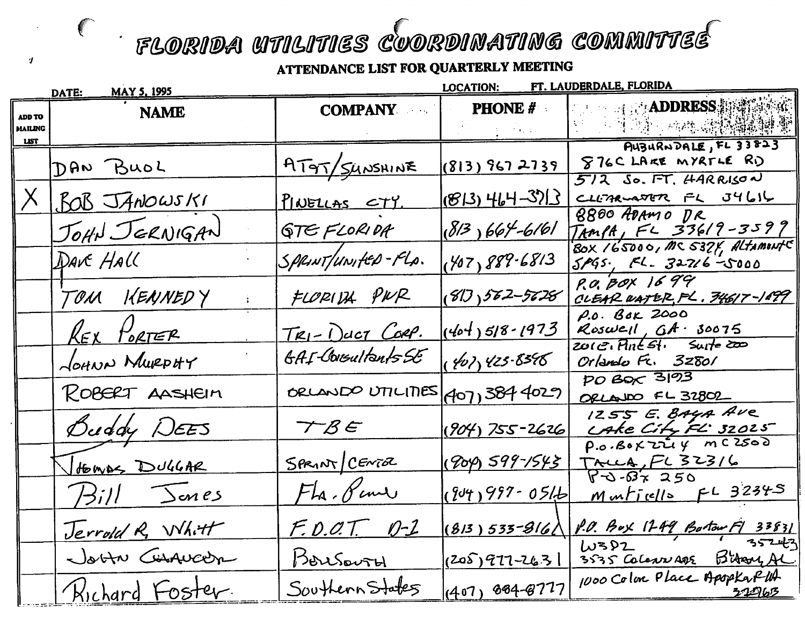ATTENDANCE LIST FOR QUARTERLY MEETING

-9

|                          | <u>MAY 5, 1995</u><br>DATE: |                    | <b>LOCATION:</b>                                                           | FT. LAUDERDALE, FLORIDA                                                    |
|--------------------------|-----------------------------|--------------------|----------------------------------------------------------------------------|----------------------------------------------------------------------------|
| ADD TO<br><b>MAILING</b> | <b>NAME</b>                 | <b>COMPANY</b>     | <b>PHONE #</b><br>$\mathcal{L}=\{1,\ldots,n\}$ , $\mathcal{L}=\mathcal{L}$ | <b>The Computer ADDRESS</b> 新羅德德羅<br><b>1. 上耳鸣的 植物磷酸酶磷酸酶</b>               |
| <b>LIST</b>              | DAN BUOL                    | AT9T/SUNSHINE      | (813) 967 2739                                                             | AUBURNDALE, FL 33823<br>876CLARE MYRTLE RD                                 |
|                          | BOB JANOWSKI                | PINELLAS CTY.      | $(813)$ 464-3713                                                           | $5/2$ So. FT. HARRISON<br>CLLITRE FL J4616                                 |
|                          | JOHN JERNIGAN               | <b>GTEFLORIDA</b>  | $(813)664 - 6161$                                                          | 8800 ADAMO DR<br>TAMPA, FL 33619-3599<br>BOX 165000, MC 5374, ALTAMONTS    |
|                          | DAVE HALL                   | SPRINT/UNIFED-FLA. | (407)889.6813                                                              | $5.005$ , FL. 32716-5000                                                   |
|                          | TOM KENNEDY                 | FLORIDA PWR        | (81), 562-5628                                                             | P.O. BOX 1699<br>CLEAR WATER, FL. 34617-1499                               |
|                          | <b>REX PORTER</b>           | TRI-DUCT CORP.     | $(404)518 - 1973$                                                          | P.O. BOK 2000<br>Roswell, $6A - 30075$<br>$201G$ , Plnt $51$ , Surte $200$ |
|                          | JOHNN MURPHY                | GAI Consultants SE | (407)425.8598                                                              | Orlando Fr. 32801                                                          |
|                          | ROBERT AASHEIM              | ORLANDO UTILITIES  | $ $ 907) 384 4029 $ $                                                      | $PO$ Box $3193$<br>ORLANDO FL 32802                                        |
|                          | Buddy DEES                  | TBE                | $(904)$ 755-2626                                                           | 1255 E. BAYA AVE<br>CAKE City FL 32025                                     |
|                          | HOWAS DUGGAR                | SPRINT CENTER      | (904) 599-1543                                                             | $P.a.BoKZUy $ m $CZSO$<br>TALLA, FL 32316                                  |
|                          | Hill Jones                  | FLa. Pene          | $(94)997 - 0516$                                                           | $8 - 0.67250$<br>Munticells FL 32345                                       |
|                          | Jerrold R. Whitt            | F.O.O.T. 0-1       | $(813)535 - 816$                                                           | P.O. Box 1249 Bortow F1 33831<br>W382                                      |
|                          | Joon Consuccon              | Bousovry           | $(2059977 - 263)$                                                          | 35243<br>3535 Colonis age Bitary AL                                        |
|                          | Kichard Foster.             | Southern States    | $(407)$ 884-8777                                                           | 1000 Color Place ApopkaPUA<br>2296 <u>3</u>                                |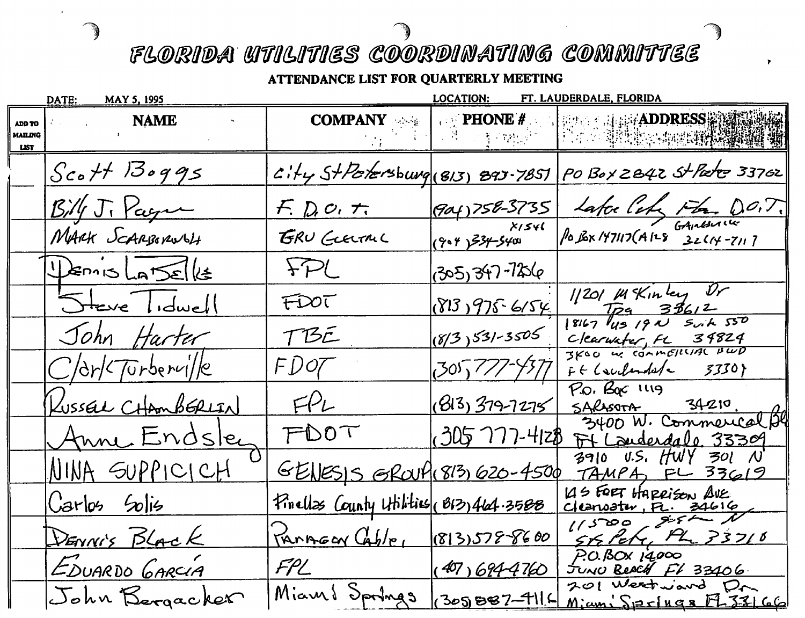d,

|                        | DATE:<br><b>MAY 5, 1995</b>       |                                        | <b>LOCATION:</b>    | FT. LAUDERDALE, FLORIDA                                                       |
|------------------------|-----------------------------------|----------------------------------------|---------------------|-------------------------------------------------------------------------------|
| <b>MAILING</b><br>LIST | <b>NAME</b><br>$\alpha$<br>ADD TO | <b>COMPANY</b>                         | 的复数人类 网络红           | <b>TO PHONE # The Property ADDRESS ASSESS</b>                                 |
|                        | $Sc$ ott Boggs                    |                                        |                     | $C114$ StPotersburg (813) 893-7851 PO Box 2842 St Pate 33702                  |
|                        | $\mathcal{B}/\sqrt{J}$ , Pagu     | $F. D.$ $O.$ $T.$                      |                     |                                                                               |
|                        | MARK SCARBORWOLT                  | GRU GLELTAL                            |                     | 904)758-3735 Lafoe Cel Fla. DO.T.<br>XISH ROBX 197117(A128 32614-7117)        |
|                        | DENIS LATSELLE                    | FPL                                    | 305,347-7256        |                                                                               |
|                        | Steve Idwell                      | FDOT                                   | $813975-6154$       | 1/201 Mkinley Dr<br>$\frac{7p_9}{8167}$ $\frac{33612}{191}$ $\frac{550}{191}$ |
|                        | John Harter                       | TBE                                    | $(8/3)531-3505$     | Clearwater, FL 34824                                                          |
|                        | $C$ /dr/ $T$ Urbervi//e           | FDOZ                                   | 305,777-4377        | $Ff$ (surferded $\sim$ 3330)                                                  |
|                        | KussEL CHAmbERLIN                 | FPL                                    | $(813, 379 - 7275)$ | P.O. Boc 1119<br>SARAS                                                        |
|                        | <u>Anne Endsley</u>               | FDOT                                   |                     | 3400 W. Commercal py<br>(305 777-4128 Ft Lauderdale, 33309                    |
|                        | <u>NINA SUPPICICH</u>             | GENESIS GROUP(813) 620-4500            |                     | $3910$ U.S. HWY 301 N<br>TAMPA FL 33619                                       |
|                        | $Carlo5$ Solis                    | Finalls County Hilities (813) 464.3588 |                     | 145 FORT HARRISON AVE<br>$\frac{c$ leanoster, FL. 34616                       |
|                        | DENNIS BLACK                      | $T_{MNPGGN}(Gh/e_{1} (813)5788600)$    |                     | $56$ Peter, Ph $33710$                                                        |
|                        | EDUARDO GARCIA                    | $FPL$ (407) 694-4760                   |                     | P.O.BOX 14,000<br>JUNO BEACH FL 33406                                         |
|                        | John Bergacker                    | Miami Springs 305B87-4114              |                     | 201 Westward Dr.<br>$M$ jam $S$ $P$ $F$ $R$ $R$ $T$ $S$ $L$ $G$ $G$           |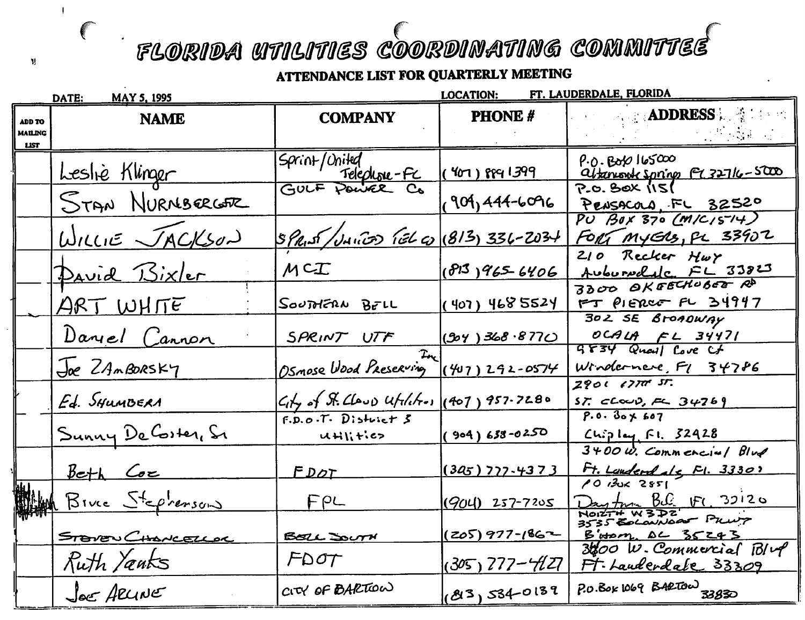$\overline{\phantom{a}}$ 

Ñ.

 $\big($ 

|                                                | DATE:<br><b>MAY 5, 1995</b> |                                                           | <b>LOCATION:</b>  | FT. LAUDERDALE, FLORIDA                                               |
|------------------------------------------------|-----------------------------|-----------------------------------------------------------|-------------------|-----------------------------------------------------------------------|
| <b>ADD TO</b><br><b>MAILING</b><br><b>LIST</b> | <b>NAME</b>                 | <b>COMPANY</b>                                            | <b>PHONE#</b>     | <b>Expediances Section</b>                                            |
|                                                | Leslie Klinger              | Sprint/United<br><u>' 'Telephone-FC</u><br>GULF Pouvee Co | $(407)$ 989 1399  | $P.0.$ Boto $165000$<br>abanent spring FL 32716-5000<br>P.O. BOX (IS) |
|                                                | STAN NURNBERGER             |                                                           | 19011446096       | PENSACOLA, FL 32520                                                   |
|                                                | $W_{1LL1E}$ $JACK502$       | SPRIST/UNITO TEL CO (813) 336-2034                        |                   | $PU$ $B0X$ 370 $(M/C/5^{-14})$<br>FORT MYERS, PL 33902                |
|                                                | <u>David Bixler</u>         | MCT                                                       | (813)9656406      | 210 Recker Hwy<br>AuburNolalc FL 33823                                |
|                                                | <u>ART WHITE</u>            | SOUTHERN BELL                                             | ( 407) 468 5524   | 3300 OKEECHOBEE RD<br>$FT$ PIERCE FL $34947$                          |
|                                                | Daryel Cannon               | SPRINT UTF                                                | $(304)$ 368.8770  | 302 SE BroADWAY<br>OCALA FL 34471<br>GF34 Quall Cove Cf               |
|                                                | Joe ZAMBORSKY               | $L_{\rm{r}}$<br>Osmose Wood Preserving                    | $(407)292 -0574$  | Windernere, F1 34786                                                  |
|                                                | Ed. SHUMBERA                | $C_1$ of St. Claud Utilities (407) 957-7280               |                   | $2901$ $1777$ $57$ .<br>$ST$ $C$ $C$ $D$ , $C$ $34769$                |
|                                                | Sunny De Coster, Sr         | $F.D.o.T.$ District $S$<br>Utilities                      | $(904)638 - 0250$ | $P.0.30\times 607$<br>$C_i$ ipley Fl. 32428                           |
|                                                | Beth Coe                    | FDOT                                                      | $(345)$ 777-4373  | $3400 \omega$ . Commenciul Blue<br>Ft. Lauderdale, Fl. 3330)          |
|                                                | Bive Steprenson             | FPL                                                       | $(904)$ 257-7205  | 12851<br>Day for BS: FC 32120<br>Noist#W3D2<br>3535 Edcanoar Pruiz    |
|                                                | STOVEN CHONCELLOR           | BELL SOUTH                                                | $(205)$ 977-1862  | B'HOM DC 35243                                                        |
|                                                | Ruth Yanks                  | $F\Delta \sigma T$                                        | $(305)$ 777-427   | $3600$ W. Commercial $B/\nu$<br>Ft. Lauderdale 33309                  |
|                                                | Jee ARLINE                  | CITY OF BARTION                                           | (83)5340139       | P.O. BOK 1069 BARTOW 33830                                            |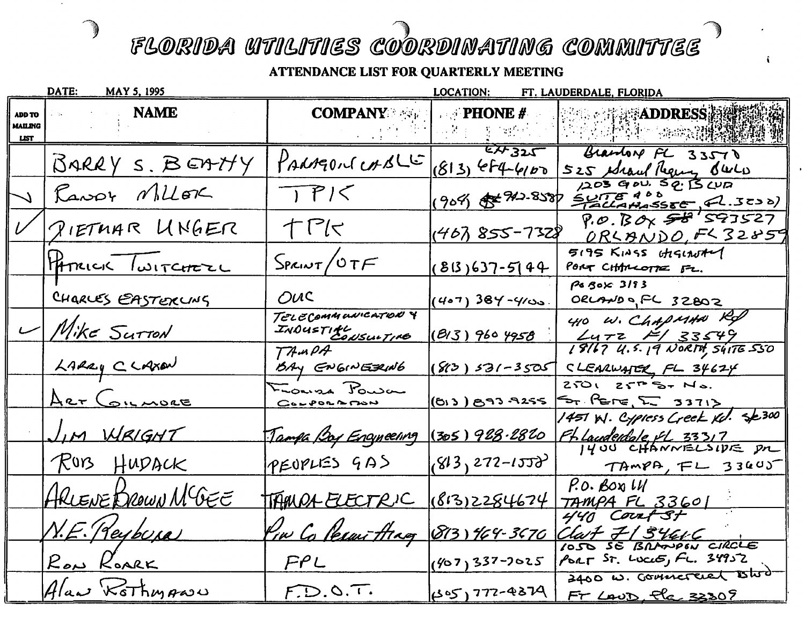ృ

|                                         | DATE:<br><b>MAY 5, 1995</b> |                                               | <b>LOCATION:</b>              | FT. LAUDERDALE, FLORIDA                                                              |
|-----------------------------------------|-----------------------------|-----------------------------------------------|-------------------------------|--------------------------------------------------------------------------------------|
| ADD TO<br><b>MAILING</b><br><b>LIST</b> | <b>NAME</b>                 | <b>COMPANY</b> $\leq$ $\leq$ <b>FHONE</b> #   | 经报告者 医心动脉                     | <b><i>MADDRESS</i></b><br><b>的 时候的 建喷射機</b>                                          |
|                                         | BARRY S. BEATTY             | PARAGONE CASLE                                | EA 325<br>$(813)$ efq- $4100$ | Grandon FL 33570<br>525 Maul Reguns Buch                                             |
|                                         | Ransor Millor               | TPI<                                          | $(909)$ \$ 242.858            | 1203 GOU. SQ. B CUD<br>$SUTE$ <sup>400</sup><br>TallaHassE (2.3230)                  |
|                                         | PIETMAR UNGER               | TPK                                           | (467, 855-7328                | $P. O. B O_X 58.593527$<br><u>ORLANDO</u> , FL 32859                                 |
|                                         | HATRICK TWITCHEZL           | $S_{PALWT}/OTF$                               | $(813)637 - 5144$             | 5195 KINSS CAGLAUTEY<br>PORT CHARLOTTE FL.                                           |
|                                         | CHARLES EASTERUNS           | OUC                                           | (4•7) 384-4⁄ుა.               | POBOX 3193<br>ORLAND of FL 32802                                                     |
|                                         | $-$ Mike Surron             | TELECOMMUNICATION Y<br>INDUSTIAL<br>INDUSTIAL | <u>(BI3) 960 4958</u>         | 410 W. ChapMAN Rd<br>$L$ 472 $H/33549$                                               |
|                                         | LARRY CLAXON                | TAMPA<br>BAY ENGINEZING                       | $80) 531 - 3505$              | 18167 4.5.19 NORTH, SÚITE 550<br>CLEARWATER FL 34624                                 |
|                                         | <u>ART COILMORE</u>         | Fransa Power<br>$C_0 - P_0 - P_0$             | (BIJ) BAJ A255                | 250125757578.<br>5 PETE L 3371>                                                      |
|                                         | JIM WRIGHT                  | <u>Tampa Boy Encyneering (305) 928.2820</u>   |                               | 1451 W. Cypiess Creek Kol. Se 300<br>FL Laudentale, fl. 33317<br>1400 CHANNELSIDE PR |
|                                         | RUB HUDACK                  | PEOPLES GAS                                   | $843,272 - 1553$              | TAMPA, FL 3340J                                                                      |
|                                         | HRLENE BROWN MCGEE          | TAMPA ELECTRIC                                | (813)2284674                  | P.O. BOY LU<br>TAMPA FL 33601                                                        |
|                                         | N.E. (Reybura)              | Pin Coleani Arag (813) 464-3670 Clark 7134616 |                               | 440 Court St                                                                         |
|                                         | RON ROARK                   | PPL                                           |                               | OSO SE BRANDON CIRCLE<br>(407) 337-7025 PORT ST. LOCIE, FL. 34952                    |
|                                         | Alaw KoThmANU               | F.D.O.T.                                      |                               | 3400 W. Commercial Blod-<br>(105) 777-4874 FT LAUD, Pla 3302                         |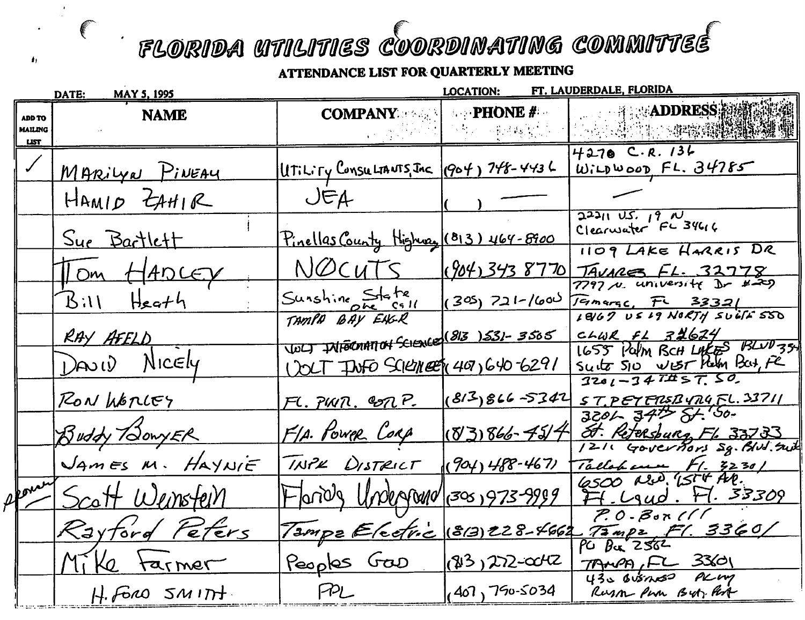$\mathcal{L}_{\mathcal{A}}$ 

|                                         | DATE:<br><u>MAY 5, 1995</u> | FT. LAUDERDALE, FLORIDA<br><b>LOCATION:</b>               |                                |                                                                                   |
|-----------------------------------------|-----------------------------|-----------------------------------------------------------|--------------------------------|-----------------------------------------------------------------------------------|
| <b>ADD TO</b><br>MAILING<br><b>LIST</b> | <b>NAME</b>                 | <b>COMPANY</b>                                            | <b>PHONE</b> $#$<br>一个人 网络神经反应 | <b>DELLETTE SEADDRESS 溶漆</b>                                                      |
|                                         | MARIYN PINEAY               | UTILITY CONSULTANTS, JAC (904) 748-4436                   |                                | $4270$ C.R. 136<br>W:LDWoonFL.34785                                               |
|                                         | HAMID ZAHIR                 | JFA                                                       |                                |                                                                                   |
|                                         | <u>Sue Bartlett</u>         | <u>Pinellas County Highway</u> (813) 464-8900             |                                | $22211$ U.S. 19 N<br>1109 LAKE HARRIS DR                                          |
|                                         | Tom HADCEY                  | NOCUTS                                                    | (904)3438770                   | TAVARES FL. 32778                                                                 |
|                                         | $B11$ Heath                 | Sunshine State                                            | $(305)$ 721-1600               | $F - 33321$<br>1867 US 19 NORTH SUGIESSO                                          |
|                                         | RAY AFELD                   | TAMPA BAY EAGR<br>VOLT INFORMATION SCHENCE (813 )531-3505 |                                | $C+WR$ $F1$ $32624$                                                               |
|                                         | DAVID NICELY                | 1201 TWFO SCILLINGER 407,640-6291                         |                                | 1655 Palm BCH LAKES BLUD35<br>Suitz SIO WEST Kelly Bat, Fe<br>$3201 - 347\#57.50$ |
|                                         | RON WORLEY                  | FL. PUIN. CONP.                                           |                                | $(813)866 - 5342$ STPETFRSBURGFL. 33711                                           |
|                                         | Buddy HowyER                | FIA. POWER CORP                                           | $(8386 - 754)$                 | $3201$ , $347$ $51.50$ .<br>St. Retersburg Fl. 33733                              |
|                                         | JAMES M. HAYNIE             | TNPK DISTRICT                                             | $(904)488 - 467$               | 1211 Governors Sq. Blud. Suit<br>Tallahaum F1. 3230/<br>6500 N.D. 15th, AR.       |
| Apontin                                 | Scott Wenstein              | Flands Undersomo/(300) 973-9999                           |                                | F1.29ud. F1.33309                                                                 |
|                                         | Rayford Peters              |                                                           |                                | $P. 0.8$ or (11<br>Tampe Electric (813) 228-4662 Tampe F1. 3360/                  |
|                                         | Mike tarmer                 | Peoples Gao                                               | $(83)22-042$                   | TANA, FL 33601                                                                    |
|                                         | $H.$ FORO $SM1$ TH.         | PL                                                        | (407, 750.5034)                | 430 BUSINSO PLM<br>Russon Pun But, Part                                           |